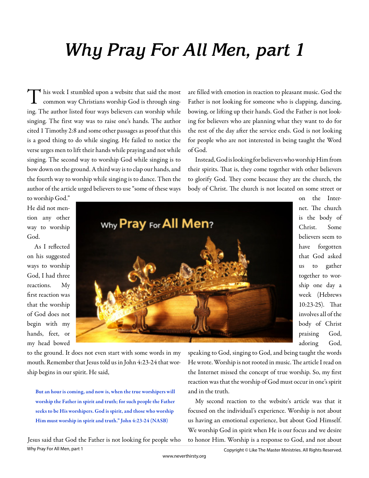# **Why Pray For All Men, part 1**

T  $\blacktriangleleft$  his week I stumbled upon a website that said the most common way Christians worship God is through singing. The author listed four ways believers can worship while singing. The first way was to raise one's hands. The author cited 1 Timothy 2:8 and some other passages as proof that this is a good thing to do while singing. He failed to notice the verse urges men to lift their hands while praying and not while singing. The second way to worship God while singing is to bow down on the ground. A third way is to clap our hands, and the fourth way to worship while singing is to dance. Then the author of the article urged believers to use "some of these ways

are filled with emotion in reaction to pleasant music. God the Father is not looking for someone who is clapping, dancing, bowing, or lifting up their hands. God the Father is not looking for believers who are planning what they want to do for the rest of the day after the service ends. God is not looking for people who are not interested in being taught the Word of God.

Instead, God is looking for believers who worship Him from their spirits. That is, they come together with other believers to glorify God. They come because they are the church, the body of Christ. The church is not located on some street or

to worship God." He did not mention any other way to worship God.

As I reflected on his suggested ways to worship God, I had three reactions. My first reaction was that the worship of God does not begin with my hands, feet, or my head bowed



to the ground. It does not even start with some words in my mouth. Remember that Jesus told us in John 4:23-24 that worship begins in our spirit. He said,

But an hour is coming, and now is, when the true worshipers will worship the Father in spirit and truth; for such people the Father seeks to be His worshipers. God is spirit, and those who worship Him must worship in spirit and truth." John 4:23-24 (NASB)

Why Pray For All Men, part 1 Jesus said that God the Father is not looking for people who on the Internet. The church is the body of Christ. Some believers seem to have forgotten that God asked us to gather together to worship one day a week (Hebrews 10:23-25). That involves all of the body of Christ praising God, adoring God,

speaking to God, singing to God, and being taught the words He wrote. Worship is not rooted in music. The article I read on the Internet missed the concept of true worship. So, my first reaction was that the worship of God must occur in one's spirit and in the truth.

My second reaction to the website's article was that it focused on the individual's experience. Worship is not about us having an emotional experience, but about God Himself. We worship God in spirit when He is our focus and we desire to honor Him. Worship is a response to God, and not about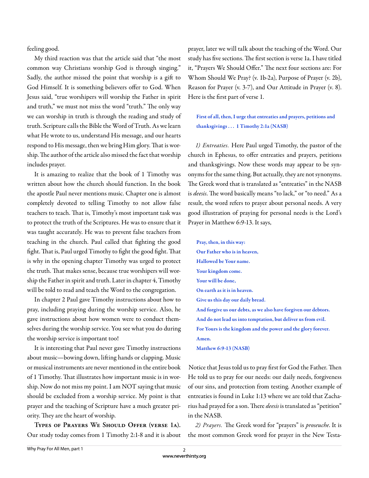feeling good.

My third reaction was that the article said that "the most common way Christians worship God is through singing." Sadly, the author missed the point that worship is a gift to God Himself. It is something believers offer to God. When Jesus said, "true worshipers will worship the Father in spirit and truth," we must not miss the word "truth." The only way we can worship in truth is through the reading and study of truth. Scripture calls the Bible the Word of Truth. As we learn what He wrote to us, understand His message, and our hearts respond to His message, then we bring Him glory. That is worship. The author of the article also missed the fact that worship includes prayer.

It is amazing to realize that the book of 1 Timothy was written about how the church should function. In the book the apostle Paul never mentions music. Chapter one is almost completely devoted to telling Timothy to not allow false teachers to teach. That is, Timothy's most important task was to protect the truth of the Scriptures. He was to ensure that it was taught accurately. He was to prevent false teachers from teaching in the church. Paul called that fighting the good fight. That is, Paul urged Timothy to fight the good fight. That is why in the opening chapter Timothy was urged to protect the truth. That makes sense, because true worshipers will worship the Father in spirit and truth. Later in chapter 4, Timothy will be told to read and teach the Word to the congregation.

In chapter 2 Paul gave Timothy instructions about how to pray, including praying during the worship service. Also, he gave instructions about how women were to conduct themselves during the worship service. You see what you do during the worship service is important too!

It is interesting that Paul never gave Timothy instructions about music—bowing down, lifting hands or clapping. Music or musical instruments are never mentioned in the entire book of 1 Timothy. That illustrates how important music is in worship. Now do not miss my point. I am NOT saying that music should be excluded from a worship service. My point is that prayer and the teaching of Scripture have a much greater priority. They are the heart of worship.

**Types of Prayers We Should Offer (verse 1a).**  Our study today comes from 1 Timothy 2:1-8 and it is about prayer, later we will talk about the teaching of the Word. Our study has five sections. The first section is verse 1a. I have titled it, "Prayers We Should Offer." The next four sections are: For Whom Should We Pray? (v. 1b-2a), Purpose of Prayer (v. 2b), Reason for Prayer (v. 3-7), and Our Attitude in Prayer (v. 8). Here is the first part of verse 1.

First of all, then, I urge that entreaties and prayers, petitions and thanksgivings . . . 1 Timothy 2:1a (NASB)

*1) Entreaties.* Here Paul urged Timothy, the pastor of the church in Ephesus, to offer entreaties and prayers, petitions and thanksgivings. Now these words may appear to be synonyms for the same thing. But actually, they are not synonyms. The Greek word that is translated as "entreaties" in the NASB is *deesis*. The word basically means "to lack," or "to need." As a result, the word refers to prayer about personal needs. A very good illustration of praying for personal needs is the Lord's Prayer in Matthew 6:9-13. It says,

Pray, then, in this way: Our Father who is in heaven, Hallowed be Your name. Your kingdom come. Your will be done, On earth as it is in heaven. Give us this day our daily bread. And forgive us our debts, as we also have forgiven our debtors. And do not lead us into temptation, but deliver us from evil. For Yours is the kingdom and the power and the glory forever. Amen. Matthew 6:9-13 (NASB)

Notice that Jesus told us to pray first for God the Father. Then He told us to pray for our needs: our daily needs, forgiveness

of our sins, and protection from testing. Another example of entreaties is found in Luke 1:13 where we are told that Zacharius had prayed for a son. There *deesis* is translated as "petition" in the NASB.

2) Prayers. The Greek word for "prayers" is *proseuche*. It is the most common Greek word for prayer in the New Testa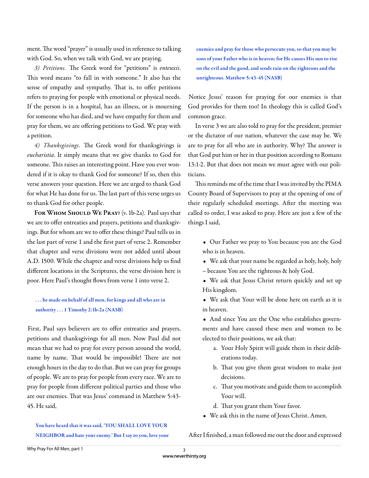ment. The word "prayer" is usually used in reference to talking with God. So, when we talk with God, we are praying.

3) Petitions. The Greek word for "petitions" is enteuxis. This word means "to fall in with someone." It also has the sense of empathy and sympathy. That is, to offer petitions refers to praying for people with emotional or physical needs. If the person is in a hospital, has an illness, or is mourning for someone who has died, and we have empathy for them and pray for them, we are offering petitions to God. We pray with a petition.

4) Thanksgivings. The Greek word for thanksgivings is *eucharistia*. It simply means that we give thanks to God for someone. This raises an interesting point. Have you ever wondered if it is okay to thank God for someone? If so, then this verse answers your question. Here we are urged to thank God for what He has done for us. The last part of this verse urges us to thank God for other people.

**For Whom Should We Pray?** (v. 1b-2a). Paul says that we are to offer entreaties and prayers, petitions and thanksgivings. But for whom are we to offer these things? Paul tells us in the last part of verse 1 and the first part of verse 2. Remember that chapter and verse divisions were not added until about A.D. 1500. While the chapter and verse divisions help us find different locations in the Scriptures, the verse division here is poor. Here Paul's thought flows from verse 1 into verse 2.

## . . . be made on behalf of all men, for kings and all who are in authority . . . 1 Timothy 2:1b-2a (NASB)

First, Paul says believers are to offer entreaties and prayers, petitions and thanksgivings for all men. Now Paul did not mean that we had to pray for every person around the world, name by name. That would be impossible! There are not enough hours in the day to do that. But we can pray for groups of people. We are to pray for people from every race. We are to pray for people from different political parties and those who are our enemies. That was Jesus' command in Matthew 5:43-45. He said,

You have heard that it was said, 'YOU SHALL LOVE YOUR NEIGHBOR and hate your enemy.' But I say to you, love your enemies and pray for those who persecute you, so that you may be sons of your Father who is in heaven; for He causes His sun to rise on the evil and the good, and sends rain on the righteous and the unrighteous. Matthew 5:43-45 (NASB)

Notice Jesus' reason for praying for our enemies is that God provides for them too! In theology this is called God's common grace.

In verse 3 we are also told to pray for the president, premier or the dictator of our nation, whatever the case may be. We are to pray for all who are in authority. Why? The answer is that God put him or her in that position according to Romans 13:1-2. But that does not mean we must agree with our politicians.

This reminds me of the time that I was invited by the PIMA County Board of Supervisors to pray at the opening of one of their regularly scheduled meetings. After the meeting was called to order, I was asked to pray. Here are just a few of the things I said,

- Our Father we pray to You because you are the God who is in heaven.
- We ask that your name be regarded as holy, holy, holy
- because You are the righteous & holy God.

• We ask that Jesus Christ return quickly and set up His kingdom.

- We ask that Your will be done here on earth as it is in heaven.
- And since You are the One who establishes governments and have caused these men and women to be elected to their positions, we ask that:
	- a. Your Holy Spirit will guide them in their deliberations today.
	- b. That you give them great wisdom to make just decisions.
	- c. Th at you motivate and guide them to accomplish Your will.
	- d. That you grant them Your favor.
- We ask this in the name of Jesus Christ. Amen.

#### After I finished, a man followed me out the door and expressed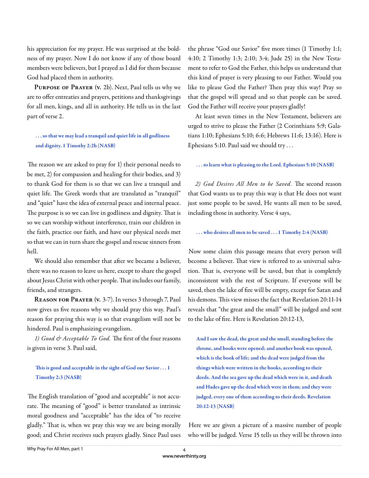his appreciation for my prayer. He was surprised at the boldness of my prayer. Now I do not know if any of those board members were believers, but I prayed as I did for them because God had placed them in authority.

**Purpose of Prayer (v.** 2b). Next, Paul tells us why we are to offer entreaties and prayers, petitions and thanksgivings for all men, kings, and all in authority. He tells us in the last part of verse 2.

## . . . so that we may lead a tranquil and quiet life in all godliness and dignity. 1 Timothy 2:2b (NASB)

The reason we are asked to pray for 1) their personal needs to be met, 2) for compassion and healing for their bodies, and 3) to thank God for them is so that we can live a tranquil and quiet life. The Greek words that are translated as "tranquil" and "quiet" have the idea of external peace and internal peace. The purpose is so we can live in godliness and dignity. That is so we can worship without interference, train our children in the faith, practice our faith, and have our physical needs met so that we can in turn share the gospel and rescue sinners from hell.

We should also remember that after we became a believer, there was no reason to leave us here, except to share the gospel about Jesus Christ with other people. That includes our family, friends, and strangers.

**Reason for Prayer (v.** 3-7). In verses 3 through 7, Paul now gives us five reasons why we should pray this way. Paul's reason for praying this way is so that evangelism will not be hindered. Paul is emphasizing evangelism.

1) Good & Acceptable To God. The first of the four reasons is given in verse 3. Paul said,

## This is good and acceptable in the sight of God our Savior  $\dots$  1 Timothy 2:3 (NASB)

The English translation of "good and acceptable" is not accurate. The meaning of "good" is better translated as intrinsic moral goodness and "acceptable" has the idea of "to receive gladly." That is, when we pray this way we are being morally good; and Christ receives such prayers gladly. Since Paul uses

the phrase "God our Savior" five more times (1 Timothy 1:1; 4:10; 2 Timothy 1:3; 2:10; 3:4; Jude 25) in the New Testament to refer to God the Father, this helps us understand that this kind of prayer is very pleasing to our Father. Would you like to please God the Father? Then pray this way! Pray so that the gospel will spread and so that people can be saved. God the Father will receive your prayers gladly!

At least seven times in the New Testament, believers are urged to strive to please the Father (2 Corinthians 5:9; Galatians 1:10; Ephesians 5:10; 6:6; Hebrews 11:6; 13:16). Here is Ephesians 5:10. Paul said we should try . . .

#### . . . to learn what is pleasing to the Lord. Ephesians 5:10 (NASB)

2) God Desires All Men to be Saved. The second reason that God wants us to pray this way is that He does not want just some people to be saved, He wants all men to be saved, including those in authority. Verse 4 says,

. . . who desires all men to be saved . . . 1 Timothy 2:4 (NASB)

Now some claim this passage means that every person will become a believer. That view is referred to as universal salvation. That is, everyone will be saved, but that is completely inconsistent with the rest of Scripture. If everyone will be saved, then the lake of fire will be empty, except for Satan and his demons. This view misses the fact that Revelation 20:11-14 reveals that "the great and the small" will be judged and sent to the lake of fire. Here is Revelation 20:12-13,

And I saw the dead, the great and the small, standing before the throne, and books were opened; and another book was opened, which is the book of life; and the dead were judged from the things which were written in the books, according to their deeds. And the sea gave up the dead which were in it, and death and Hades gave up the dead which were in them; and they were judged, every one of them according to their deeds. Revelation 20:12-13 (NASB)

Here we are given a picture of a massive number of people who will be judged. Verse 15 tells us they will be thrown into